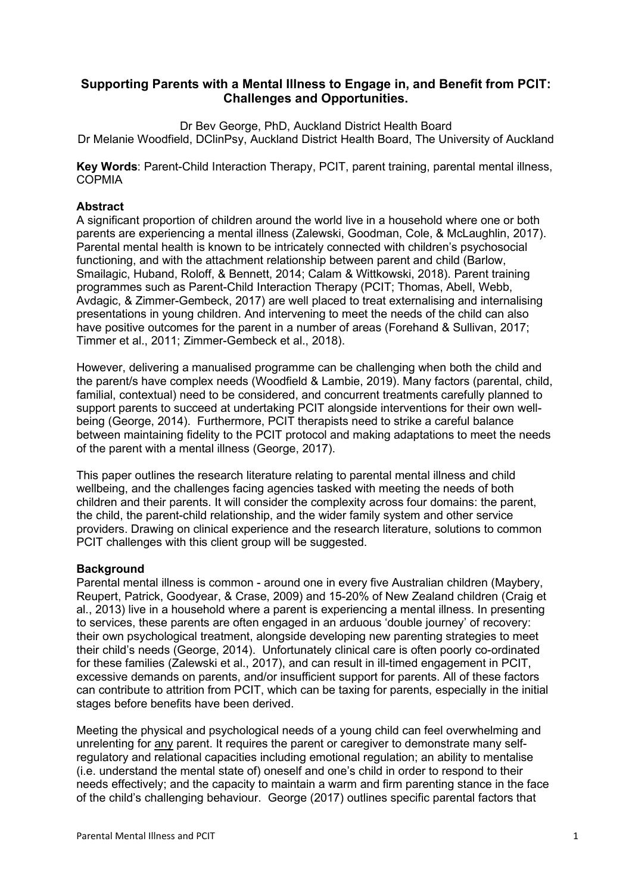# **Supporting Parents with a Mental Illness to Engage in, and Benefit from PCIT: Challenges and Opportunities.**

Dr Bev George, PhD, Auckland District Health Board Dr Melanie Woodfield, DClinPsy, Auckland District Health Board, The University of Auckland

**Key Words**: Parent-Child Interaction Therapy, PCIT, parent training, parental mental illness, **COPMIA** 

### **Abstract**

A significant proportion of children around the world live in a household where one or both parents are experiencing a mental illness (Zalewski, Goodman, Cole, & McLaughlin, 2017). Parental mental health is known to be intricately connected with children's psychosocial functioning, and with the attachment relationship between parent and child (Barlow, Smailagic, Huband, Roloff, & Bennett, 2014; Calam & Wittkowski, 2018). Parent training programmes such as Parent-Child Interaction Therapy (PCIT; Thomas, Abell, Webb, Avdagic, & Zimmer-Gembeck, 2017) are well placed to treat externalising and internalising presentations in young children. And intervening to meet the needs of the child can also have positive outcomes for the parent in a number of areas (Forehand & Sullivan, 2017; Timmer et al., 2011; Zimmer-Gembeck et al., 2018).

However, delivering a manualised programme can be challenging when both the child and the parent/s have complex needs (Woodfield & Lambie, 2019). Many factors (parental, child, familial, contextual) need to be considered, and concurrent treatments carefully planned to support parents to succeed at undertaking PCIT alongside interventions for their own wellbeing (George, 2014). Furthermore, PCIT therapists need to strike a careful balance between maintaining fidelity to the PCIT protocol and making adaptations to meet the needs of the parent with a mental illness (George, 2017).

This paper outlines the research literature relating to parental mental illness and child wellbeing, and the challenges facing agencies tasked with meeting the needs of both children and their parents. It will consider the complexity across four domains: the parent, the child, the parent-child relationship, and the wider family system and other service providers. Drawing on clinical experience and the research literature, solutions to common PCIT challenges with this client group will be suggested.

### **Background**

Parental mental illness is common - around one in every five Australian children (Maybery, Reupert, Patrick, Goodyear, & Crase, 2009) and 15-20% of New Zealand children (Craig et al., 2013) live in a household where a parent is experiencing a mental illness. In presenting to services, these parents are often engaged in an arduous 'double journey' of recovery: their own psychological treatment, alongside developing new parenting strategies to meet their child's needs (George, 2014). Unfortunately clinical care is often poorly co-ordinated for these families (Zalewski et al., 2017), and can result in ill-timed engagement in PCIT, excessive demands on parents, and/or insufficient support for parents. All of these factors can contribute to attrition from PCIT, which can be taxing for parents, especially in the initial stages before benefits have been derived.

Meeting the physical and psychological needs of a young child can feel overwhelming and unrelenting for any parent. It requires the parent or caregiver to demonstrate many selfregulatory and relational capacities including emotional regulation; an ability to mentalise (i.e. understand the mental state of) oneself and one's child in order to respond to their needs effectively; and the capacity to maintain a warm and firm parenting stance in the face of the child's challenging behaviour. George (2017) outlines specific parental factors that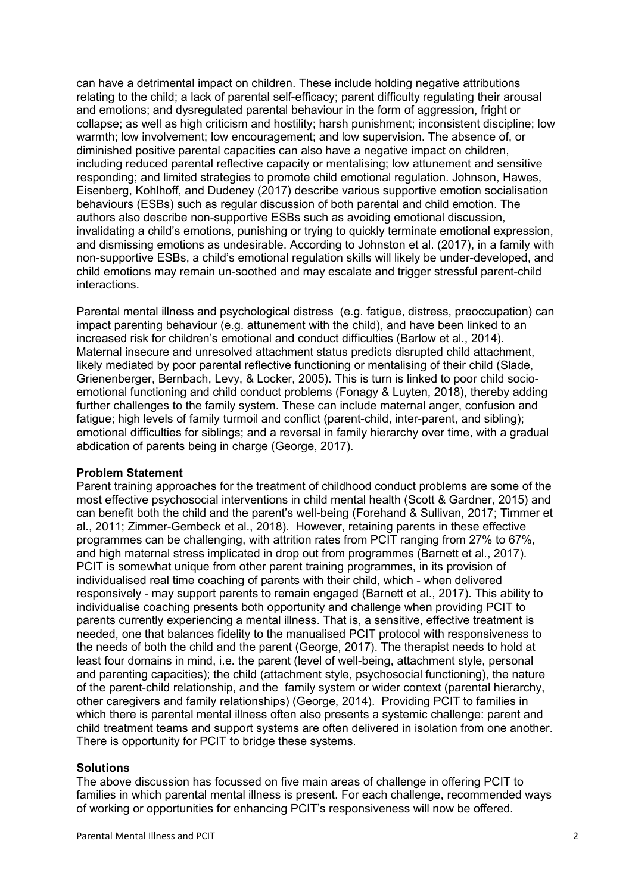can have a detrimental impact on children. These include holding negative attributions relating to the child; a lack of parental self-efficacy; parent difficulty regulating their arousal and emotions; and dysregulated parental behaviour in the form of aggression, fright or collapse; as well as high criticism and hostility; harsh punishment; inconsistent discipline; low warmth; low involvement; low encouragement; and low supervision. The absence of, or diminished positive parental capacities can also have a negative impact on children, including reduced parental reflective capacity or mentalising; low attunement and sensitive responding; and limited strategies to promote child emotional regulation. Johnson, Hawes, Eisenberg, Kohlhoff, and Dudeney (2017) describe various supportive emotion socialisation behaviours (ESBs) such as regular discussion of both parental and child emotion. The authors also describe non-supportive ESBs such as avoiding emotional discussion, invalidating a child's emotions, punishing or trying to quickly terminate emotional expression, and dismissing emotions as undesirable. According to Johnston et al. (2017), in a family with non-supportive ESBs, a child's emotional regulation skills will likely be under-developed, and child emotions may remain un-soothed and may escalate and trigger stressful parent-child interactions.

Parental mental illness and psychological distress (e.g. fatigue, distress, preoccupation) can impact parenting behaviour (e.g. attunement with the child), and have been linked to an increased risk for children's emotional and conduct difficulties (Barlow et al., 2014). Maternal insecure and unresolved attachment status predicts disrupted child attachment, likely mediated by poor parental reflective functioning or mentalising of their child (Slade, Grienenberger, Bernbach, Levy, & Locker, 2005). This is turn is linked to poor child socioemotional functioning and child conduct problems (Fonagy & Luyten, 2018), thereby adding further challenges to the family system. These can include maternal anger, confusion and fatigue; high levels of family turmoil and conflict (parent-child, inter-parent, and sibling); emotional difficulties for siblings; and a reversal in family hierarchy over time, with a gradual abdication of parents being in charge (George, 2017).

### **Problem Statement**

Parent training approaches for the treatment of childhood conduct problems are some of the most effective psychosocial interventions in child mental health (Scott & Gardner, 2015) and can benefit both the child and the parent's well-being (Forehand & Sullivan, 2017; Timmer et al., 2011; Zimmer-Gembeck et al., 2018). However, retaining parents in these effective programmes can be challenging, with attrition rates from PCIT ranging from 27% to 67%, and high maternal stress implicated in drop out from programmes (Barnett et al., 2017). PCIT is somewhat unique from other parent training programmes, in its provision of individualised real time coaching of parents with their child, which - when delivered responsively - may support parents to remain engaged (Barnett et al., 2017). This ability to individualise coaching presents both opportunity and challenge when providing PCIT to parents currently experiencing a mental illness. That is, a sensitive, effective treatment is needed, one that balances fidelity to the manualised PCIT protocol with responsiveness to the needs of both the child and the parent (George, 2017). The therapist needs to hold at least four domains in mind, i.e. the parent (level of well-being, attachment style, personal and parenting capacities); the child (attachment style, psychosocial functioning), the nature of the parent-child relationship, and the family system or wider context (parental hierarchy, other caregivers and family relationships) (George, 2014). Providing PCIT to families in which there is parental mental illness often also presents a systemic challenge: parent and child treatment teams and support systems are often delivered in isolation from one another. There is opportunity for PCIT to bridge these systems.

### **Solutions**

The above discussion has focussed on five main areas of challenge in offering PCIT to families in which parental mental illness is present. For each challenge, recommended ways of working or opportunities for enhancing PCIT's responsiveness will now be offered.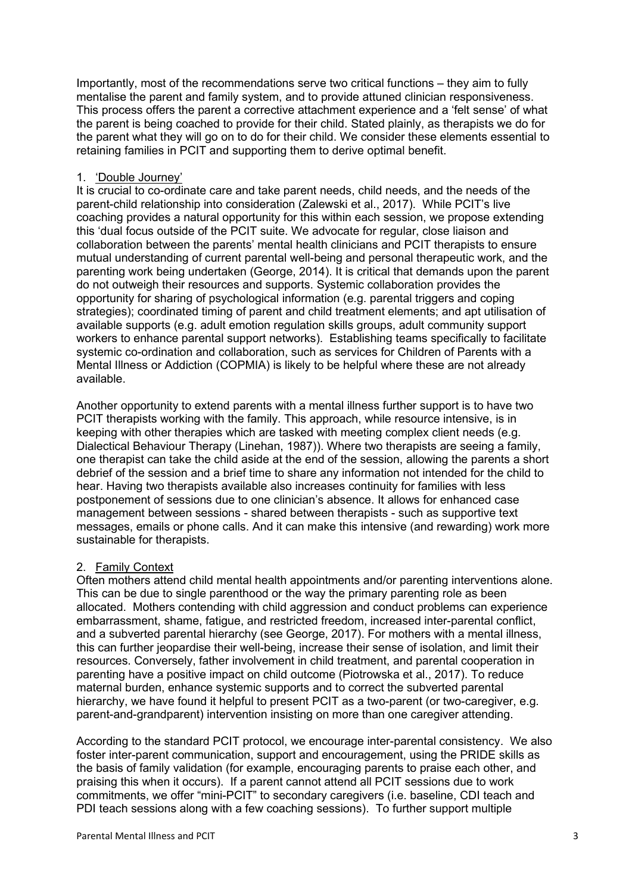Importantly, most of the recommendations serve two critical functions – they aim to fully mentalise the parent and family system, and to provide attuned clinician responsiveness. This process offers the parent a corrective attachment experience and a 'felt sense' of what the parent is being coached to provide for their child. Stated plainly, as therapists we do for the parent what they will go on to do for their child. We consider these elements essential to retaining families in PCIT and supporting them to derive optimal benefit.

### 1. 'Double Journey'

It is crucial to co-ordinate care and take parent needs, child needs, and the needs of the parent-child relationship into consideration (Zalewski et al., 2017). While PCIT's live coaching provides a natural opportunity for this within each session, we propose extending this 'dual focus outside of the PCIT suite. We advocate for regular, close liaison and collaboration between the parents' mental health clinicians and PCIT therapists to ensure mutual understanding of current parental well-being and personal therapeutic work, and the parenting work being undertaken (George, 2014). It is critical that demands upon the parent do not outweigh their resources and supports. Systemic collaboration provides the opportunity for sharing of psychological information (e.g. parental triggers and coping strategies); coordinated timing of parent and child treatment elements; and apt utilisation of available supports (e.g. adult emotion regulation skills groups, adult community support workers to enhance parental support networks). Establishing teams specifically to facilitate systemic co-ordination and collaboration, such as services for Children of Parents with a Mental Illness or Addiction (COPMIA) is likely to be helpful where these are not already available.

Another opportunity to extend parents with a mental illness further support is to have two PCIT therapists working with the family. This approach, while resource intensive, is in keeping with other therapies which are tasked with meeting complex client needs (e.g. Dialectical Behaviour Therapy (Linehan, 1987)). Where two therapists are seeing a family, one therapist can take the child aside at the end of the session, allowing the parents a short debrief of the session and a brief time to share any information not intended for the child to hear. Having two therapists available also increases continuity for families with less postponement of sessions due to one clinician's absence. It allows for enhanced case management between sessions - shared between therapists - such as supportive text messages, emails or phone calls. And it can make this intensive (and rewarding) work more sustainable for therapists.

### 2. Family Context

Often mothers attend child mental health appointments and/or parenting interventions alone. This can be due to single parenthood or the way the primary parenting role as been allocated. Mothers contending with child aggression and conduct problems can experience embarrassment, shame, fatigue, and restricted freedom, increased inter-parental conflict, and a subverted parental hierarchy (see George, 2017). For mothers with a mental illness, this can further jeopardise their well-being, increase their sense of isolation, and limit their resources. Conversely, father involvement in child treatment, and parental cooperation in parenting have a positive impact on child outcome (Piotrowska et al., 2017). To reduce maternal burden, enhance systemic supports and to correct the subverted parental hierarchy, we have found it helpful to present PCIT as a two-parent (or two-caregiver, e.g. parent-and-grandparent) intervention insisting on more than one caregiver attending.

According to the standard PCIT protocol, we encourage inter-parental consistency. We also foster inter-parent communication, support and encouragement, using the PRIDE skills as the basis of family validation (for example, encouraging parents to praise each other, and praising this when it occurs). If a parent cannot attend all PCIT sessions due to work commitments, we offer "mini-PCIT" to secondary caregivers (i.e. baseline, CDI teach and PDI teach sessions along with a few coaching sessions). To further support multiple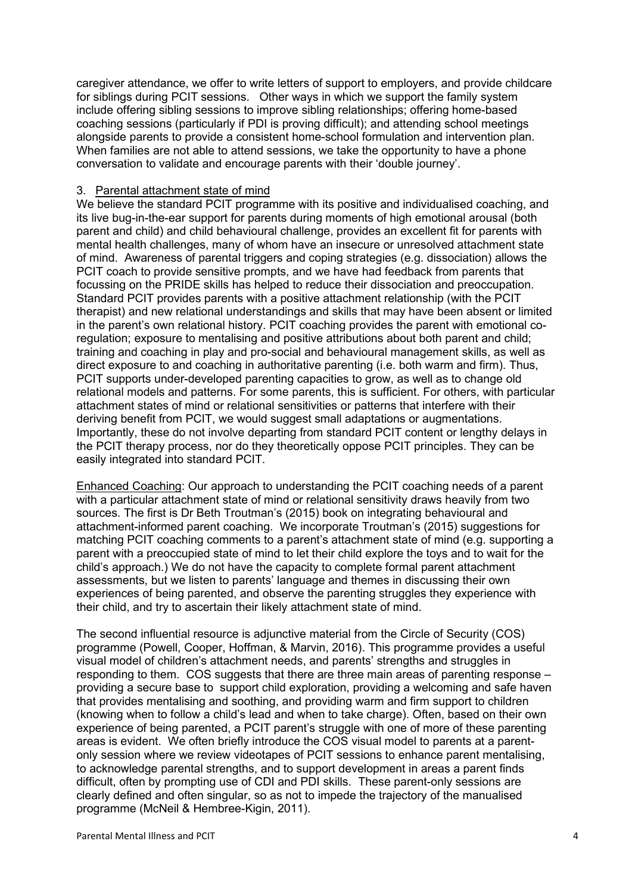caregiver attendance, we offer to write letters of support to employers, and provide childcare for siblings during PCIT sessions. Other ways in which we support the family system include offering sibling sessions to improve sibling relationships; offering home-based coaching sessions (particularly if PDI is proving difficult); and attending school meetings alongside parents to provide a consistent home-school formulation and intervention plan. When families are not able to attend sessions, we take the opportunity to have a phone conversation to validate and encourage parents with their 'double journey'.

#### 3. Parental attachment state of mind

We believe the standard PCIT programme with its positive and individualised coaching, and its live bug-in-the-ear support for parents during moments of high emotional arousal (both parent and child) and child behavioural challenge, provides an excellent fit for parents with mental health challenges, many of whom have an insecure or unresolved attachment state of mind. Awareness of parental triggers and coping strategies (e.g. dissociation) allows the PCIT coach to provide sensitive prompts, and we have had feedback from parents that focussing on the PRIDE skills has helped to reduce their dissociation and preoccupation. Standard PCIT provides parents with a positive attachment relationship (with the PCIT therapist) and new relational understandings and skills that may have been absent or limited in the parent's own relational history. PCIT coaching provides the parent with emotional coregulation; exposure to mentalising and positive attributions about both parent and child; training and coaching in play and pro-social and behavioural management skills, as well as direct exposure to and coaching in authoritative parenting (i.e. both warm and firm). Thus, PCIT supports under-developed parenting capacities to grow, as well as to change old relational models and patterns. For some parents, this is sufficient. For others, with particular attachment states of mind or relational sensitivities or patterns that interfere with their deriving benefit from PCIT, we would suggest small adaptations or augmentations. Importantly, these do not involve departing from standard PCIT content or lengthy delays in the PCIT therapy process, nor do they theoretically oppose PCIT principles. They can be easily integrated into standard PCIT.

Enhanced Coaching: Our approach to understanding the PCIT coaching needs of a parent with a particular attachment state of mind or relational sensitivity draws heavily from two sources. The first is Dr Beth Troutman's (2015) book on integrating behavioural and attachment-informed parent coaching. We incorporate Troutman's (2015) suggestions for matching PCIT coaching comments to a parent's attachment state of mind (e.g. supporting a parent with a preoccupied state of mind to let their child explore the toys and to wait for the child's approach.) We do not have the capacity to complete formal parent attachment assessments, but we listen to parents' language and themes in discussing their own experiences of being parented, and observe the parenting struggles they experience with their child, and try to ascertain their likely attachment state of mind.

The second influential resource is adjunctive material from the Circle of Security (COS) programme (Powell, Cooper, Hoffman, & Marvin, 2016). This programme provides a useful visual model of children's attachment needs, and parents' strengths and struggles in responding to them. COS suggests that there are three main areas of parenting response – providing a secure base to support child exploration, providing a welcoming and safe haven that provides mentalising and soothing, and providing warm and firm support to children (knowing when to follow a child's lead and when to take charge). Often, based on their own experience of being parented, a PCIT parent's struggle with one of more of these parenting areas is evident. We often briefly introduce the COS visual model to parents at a parentonly session where we review videotapes of PCIT sessions to enhance parent mentalising, to acknowledge parental strengths, and to support development in areas a parent finds difficult, often by prompting use of CDI and PDI skills. These parent-only sessions are clearly defined and often singular, so as not to impede the trajectory of the manualised programme (McNeil & Hembree-Kigin, 2011).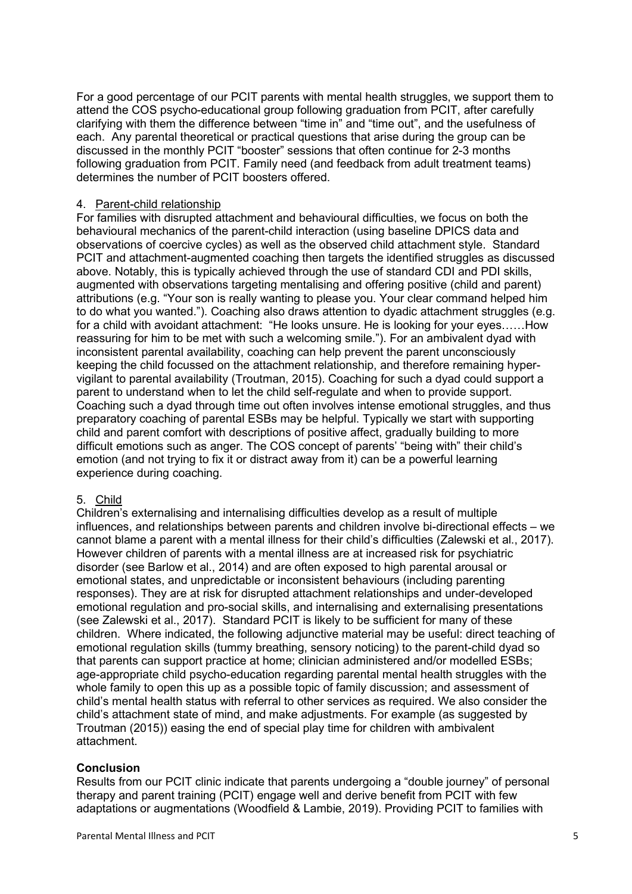For a good percentage of our PCIT parents with mental health struggles, we support them to attend the COS psycho-educational group following graduation from PCIT, after carefully clarifying with them the difference between "time in" and "time out", and the usefulness of each. Any parental theoretical or practical questions that arise during the group can be discussed in the monthly PCIT "booster" sessions that often continue for 2-3 months following graduation from PCIT. Family need (and feedback from adult treatment teams) determines the number of PCIT boosters offered.

## 4. Parent-child relationship

For families with disrupted attachment and behavioural difficulties, we focus on both the behavioural mechanics of the parent-child interaction (using baseline DPICS data and observations of coercive cycles) as well as the observed child attachment style. Standard PCIT and attachment-augmented coaching then targets the identified struggles as discussed above. Notably, this is typically achieved through the use of standard CDI and PDI skills, augmented with observations targeting mentalising and offering positive (child and parent) attributions (e.g. "Your son is really wanting to please you. Your clear command helped him to do what you wanted."). Coaching also draws attention to dyadic attachment struggles (e.g. for a child with avoidant attachment: "He looks unsure. He is looking for your eyes……How reassuring for him to be met with such a welcoming smile."). For an ambivalent dyad with inconsistent parental availability, coaching can help prevent the parent unconsciously keeping the child focussed on the attachment relationship, and therefore remaining hypervigilant to parental availability (Troutman, 2015). Coaching for such a dyad could support a parent to understand when to let the child self-regulate and when to provide support. Coaching such a dyad through time out often involves intense emotional struggles, and thus preparatory coaching of parental ESBs may be helpful. Typically we start with supporting child and parent comfort with descriptions of positive affect, gradually building to more difficult emotions such as anger. The COS concept of parents' "being with" their child's emotion (and not trying to fix it or distract away from it) can be a powerful learning experience during coaching.

### 5. Child

Children's externalising and internalising difficulties develop as a result of multiple influences, and relationships between parents and children involve bi-directional effects – we cannot blame a parent with a mental illness for their child's difficulties (Zalewski et al., 2017). However children of parents with a mental illness are at increased risk for psychiatric disorder (see Barlow et al., 2014) and are often exposed to high parental arousal or emotional states, and unpredictable or inconsistent behaviours (including parenting responses). They are at risk for disrupted attachment relationships and under-developed emotional regulation and pro-social skills, and internalising and externalising presentations (see Zalewski et al., 2017). Standard PCIT is likely to be sufficient for many of these children. Where indicated, the following adjunctive material may be useful: direct teaching of emotional regulation skills (tummy breathing, sensory noticing) to the parent-child dyad so that parents can support practice at home; clinician administered and/or modelled ESBs; age-appropriate child psycho-education regarding parental mental health struggles with the whole family to open this up as a possible topic of family discussion; and assessment of child's mental health status with referral to other services as required. We also consider the child's attachment state of mind, and make adjustments. For example (as suggested by Troutman (2015)) easing the end of special play time for children with ambivalent attachment.

## **Conclusion**

Results from our PCIT clinic indicate that parents undergoing a "double journey" of personal therapy and parent training (PCIT) engage well and derive benefit from PCIT with few adaptations or augmentations (Woodfield & Lambie, 2019). Providing PCIT to families with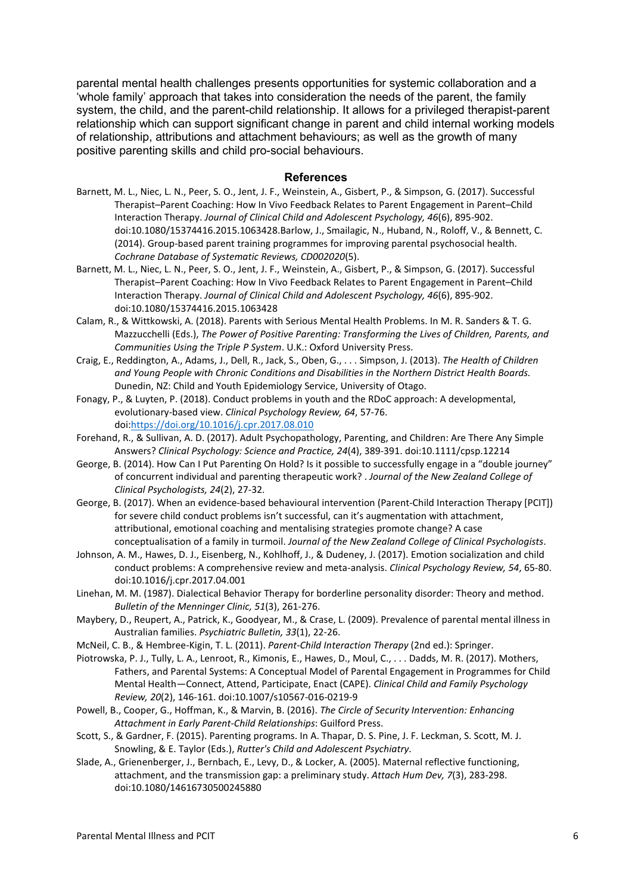parental mental health challenges presents opportunities for systemic collaboration and a 'whole family' approach that takes into consideration the needs of the parent, the family system, the child, and the parent-child relationship. It allows for a privileged therapist-parent relationship which can support significant change in parent and child internal working models of relationship, attributions and attachment behaviours; as well as the growth of many positive parenting skills and child pro-social behaviours.

#### **References**

- Barnett, M. L., Niec, L. N., Peer, S. O., Jent, J. F., Weinstein, A., Gisbert, P., & Simpson, G. (2017). Successful Therapist–Parent Coaching: How In Vivo Feedback Relates to Parent Engagement in Parent–Child Interaction Therapy. *Journal of Clinical Child and Adolescent Psychology, 46*(6), 895-902. doi:10.1080/15374416.2015.1063428.Barlow, J., Smailagic, N., Huband, N., Roloff, V., & Bennett, C. (2014). Group-based parent training programmes for improving parental psychosocial health. *Cochrane Database of Systematic Reviews, CD002020*(5).
- Barnett, M. L., Niec, L. N., Peer, S. O., Jent, J. F., Weinstein, A., Gisbert, P., & Simpson, G. (2017). Successful Therapist–Parent Coaching: How In Vivo Feedback Relates to Parent Engagement in Parent–Child Interaction Therapy. *Journal of Clinical Child and Adolescent Psychology, 46*(6), 895-902. doi:10.1080/15374416.2015.1063428
- Calam, R., & Wittkowski, A. (2018). Parents with Serious Mental Health Problems. In M. R. Sanders & T. G. Mazzucchelli (Eds.), *The Power of Positive Parenting: Transforming the Lives of Children, Parents, and Communities Using the Triple P System*. U.K.: Oxford University Press.
- Craig, E., Reddington, A., Adams, J., Dell, R., Jack, S., Oben, G., . . . Simpson, J. (2013). *The Health of Children and Young People with Chronic Conditions and Disabilities in the Northern District Health Boards.* Dunedin, NZ: Child and Youth Epidemiology Service, University of Otago.
- Fonagy, P., & Luyten, P. (2018). Conduct problems in youth and the RDoC approach: A developmental, evolutionary-based view. *Clinical Psychology Review, 64*, 57-76. doi[:https://doi.org/10.1016/j.cpr.2017.08.010](https://doi.org/10.1016/j.cpr.2017.08.010)
- Forehand, R., & Sullivan, A. D. (2017). Adult Psychopathology, Parenting, and Children: Are There Any Simple Answers? *Clinical Psychology: Science and Practice, 24*(4), 389-391. doi:10.1111/cpsp.12214
- George, B. (2014). How Can I Put Parenting On Hold? Is it possible to successfully engage in a "double journey" of concurrent individual and parenting therapeutic work? . *Journal of the New Zealand College of Clinical Psychologists, 24*(2), 27-32.
- George, B. (2017). When an evidence-based behavioural intervention (Parent-Child Interaction Therapy [PCIT]) for severe child conduct problems isn't successful, can it's augmentation with attachment, attributional, emotional coaching and mentalising strategies promote change? A case conceptualisation of a family in turmoil. *Journal of the New Zealand College of Clinical Psychologists*.
- Johnson, A. M., Hawes, D. J., Eisenberg, N., Kohlhoff, J., & Dudeney, J. (2017). Emotion socialization and child conduct problems: A comprehensive review and meta-analysis. *Clinical Psychology Review, 54*, 65-80. doi:10.1016/j.cpr.2017.04.001
- Linehan, M. M. (1987). Dialectical Behavior Therapy for borderline personality disorder: Theory and method. *Bulletin of the Menninger Clinic, 51*(3), 261-276.
- Maybery, D., Reupert, A., Patrick, K., Goodyear, M., & Crase, L. (2009). Prevalence of parental mental illness in Australian families. *Psychiatric Bulletin, 33*(1), 22-26.
- McNeil, C. B., & Hembree-Kigin, T. L. (2011). *Parent-Child Interaction Therapy* (2nd ed.): Springer.
- Piotrowska, P. J., Tully, L. A., Lenroot, R., Kimonis, E., Hawes, D., Moul, C., . . . Dadds, M. R. (2017). Mothers, Fathers, and Parental Systems: A Conceptual Model of Parental Engagement in Programmes for Child Mental Health—Connect, Attend, Participate, Enact (CAPE). *Clinical Child and Family Psychology Review, 20*(2), 146-161. doi:10.1007/s10567-016-0219-9
- Powell, B., Cooper, G., Hoffman, K., & Marvin, B. (2016). *The Circle of Security Intervention: Enhancing Attachment in Early Parent-Child Relationships*: Guilford Press.
- Scott, S., & Gardner, F. (2015). Parenting programs. In A. Thapar, D. S. Pine, J. F. Leckman, S. Scott, M. J. Snowling, & E. Taylor (Eds.), *Rutter's Child and Adolescent Psychiatry*.
- Slade, A., Grienenberger, J., Bernbach, E., Levy, D., & Locker, A. (2005). Maternal reflective functioning, attachment, and the transmission gap: a preliminary study. *Attach Hum Dev, 7*(3), 283-298. doi:10.1080/14616730500245880